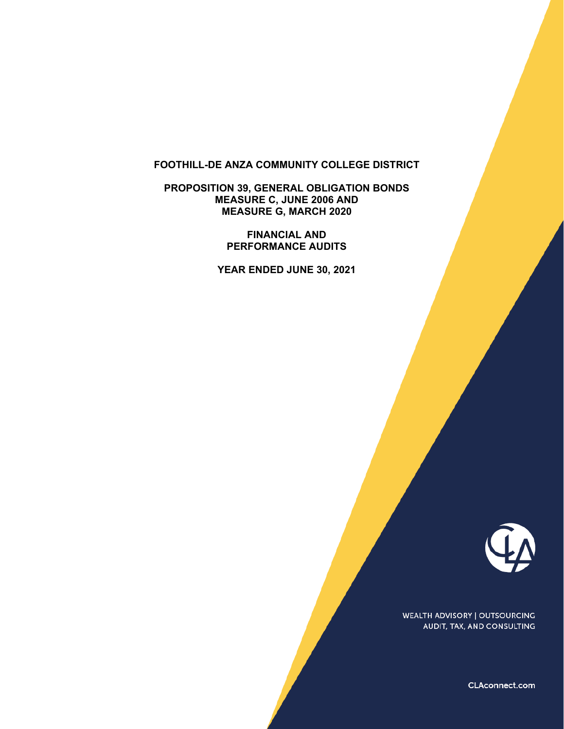### **FOOTHILL-DE ANZA COMMUNITY COLLEGE DISTRICT**

**PROPOSITION 39, GENERAL OBLIGATION BONDS MEASURE C, JUNE 2006 AND MEASURE G, MARCH 2020** 

> **FINANCIAL AND PERFORMANCE AUDITS**

**YEAR ENDED JUNE 30, 2021** 



WEALTH ADVISORY | OUTSOURCING AUDIT, TAX, AND CONSULTING

CLAconnect.com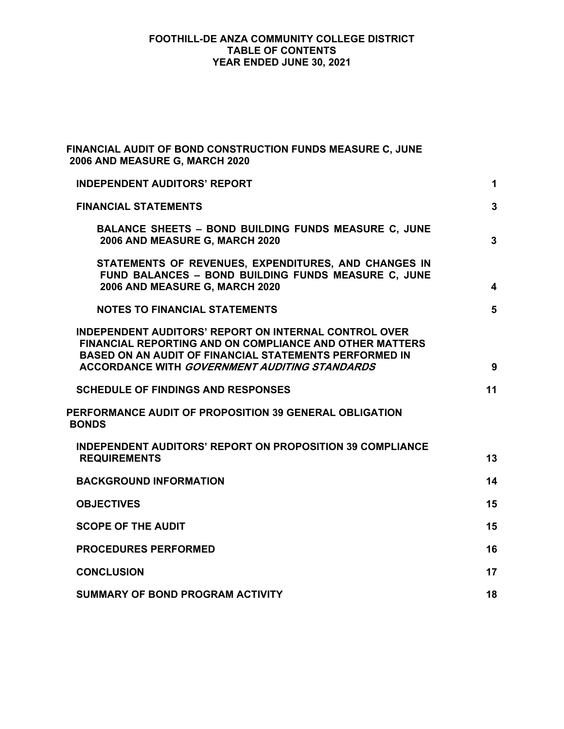## **FOOTHILL-DE ANZA COMMUNITY COLLEGE DISTRICT TABLE OF CONTENTS YEAR ENDED JUNE 30, 2021**

| FINANCIAL AUDIT OF BOND CONSTRUCTION FUNDS MEASURE C, JUNE<br>2006 AND MEASURE G, MARCH 2020                                                                                                                                                            |    |
|---------------------------------------------------------------------------------------------------------------------------------------------------------------------------------------------------------------------------------------------------------|----|
| <b>INDEPENDENT AUDITORS' REPORT</b>                                                                                                                                                                                                                     | 1  |
| <b>FINANCIAL STATEMENTS</b>                                                                                                                                                                                                                             | 3  |
| <b>BALANCE SHEETS - BOND BUILDING FUNDS MEASURE C, JUNE</b><br>2006 AND MEASURE G, MARCH 2020                                                                                                                                                           | 3  |
| STATEMENTS OF REVENUES, EXPENDITURES, AND CHANGES IN<br>FUND BALANCES - BOND BUILDING FUNDS MEASURE C, JUNE<br>2006 AND MEASURE G, MARCH 2020                                                                                                           | 4  |
| <b>NOTES TO FINANCIAL STATEMENTS</b>                                                                                                                                                                                                                    | 5  |
| <b>INDEPENDENT AUDITORS' REPORT ON INTERNAL CONTROL OVER</b><br><b>FINANCIAL REPORTING AND ON COMPLIANCE AND OTHER MATTERS</b><br><b>BASED ON AN AUDIT OF FINANCIAL STATEMENTS PERFORMED IN</b><br><b>ACCORDANCE WITH GOVERNMENT AUDITING STANDARDS</b> | 9  |
| <b>SCHEDULE OF FINDINGS AND RESPONSES</b>                                                                                                                                                                                                               | 11 |
| PERFORMANCE AUDIT OF PROPOSITION 39 GENERAL OBLIGATION<br><b>BONDS</b>                                                                                                                                                                                  |    |
| <b>INDEPENDENT AUDITORS' REPORT ON PROPOSITION 39 COMPLIANCE</b><br><b>REQUIREMENTS</b>                                                                                                                                                                 | 13 |
| <b>BACKGROUND INFORMATION</b>                                                                                                                                                                                                                           | 14 |
| <b>OBJECTIVES</b>                                                                                                                                                                                                                                       | 15 |
| <b>SCOPE OF THE AUDIT</b>                                                                                                                                                                                                                               | 15 |
| <b>PROCEDURES PERFORMED</b>                                                                                                                                                                                                                             | 16 |
| <b>CONCLUSION</b>                                                                                                                                                                                                                                       | 17 |
| <b>SUMMARY OF BOND PROGRAM ACTIVITY</b>                                                                                                                                                                                                                 | 18 |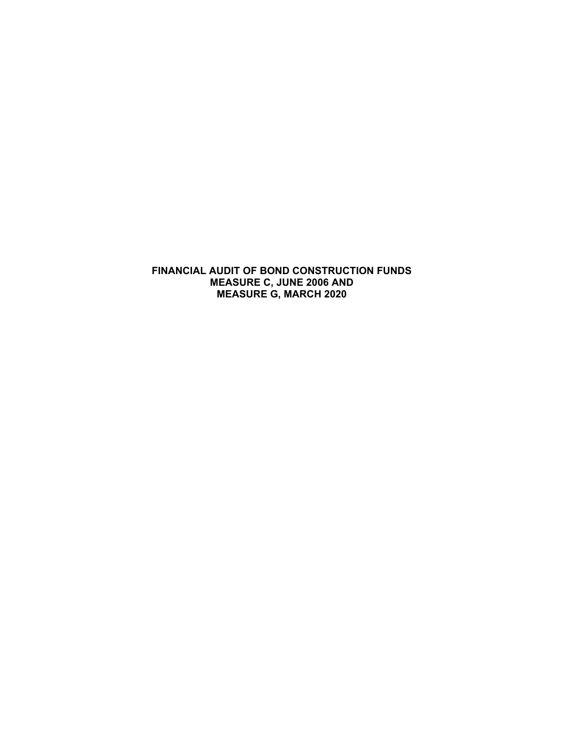**FINANCIAL AUDIT OF BOND CONSTRUCTION FUNDS MEASURE C, JUNE 2006 AND MEASURE G, MARCH 2020**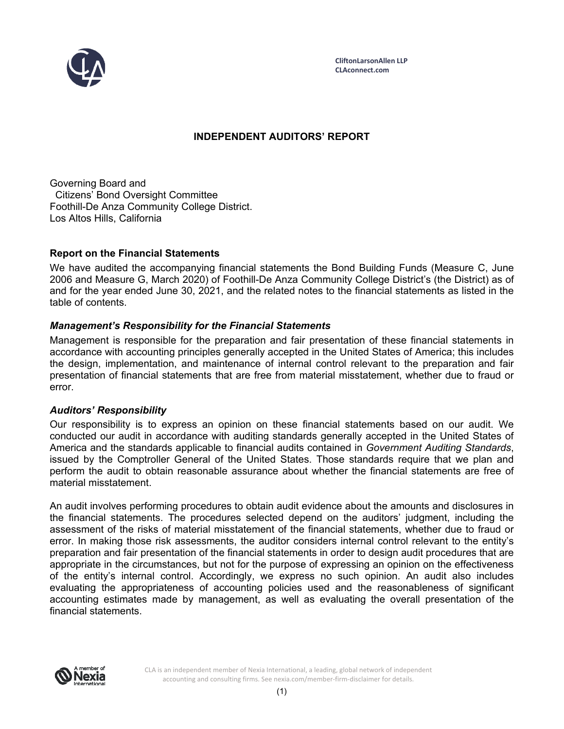

# **INDEPENDENT AUDITORS' REPORT**

Governing Board and Citizens' Bond Oversight Committee Foothill-De Anza Community College District. Los Altos Hills, California

### **Report on the Financial Statements**

We have audited the accompanying financial statements the Bond Building Funds (Measure C, June 2006 and Measure G, March 2020) of Foothill-De Anza Community College District's (the District) as of and for the year ended June 30, 2021, and the related notes to the financial statements as listed in the table of contents.

## *Management's Responsibility for the Financial Statements*

Management is responsible for the preparation and fair presentation of these financial statements in accordance with accounting principles generally accepted in the United States of America; this includes the design, implementation, and maintenance of internal control relevant to the preparation and fair presentation of financial statements that are free from material misstatement, whether due to fraud or error.

#### *Auditors' Responsibility*

Our responsibility is to express an opinion on these financial statements based on our audit. We conducted our audit in accordance with auditing standards generally accepted in the United States of America and the standards applicable to financial audits contained in *Government Auditing Standards*, issued by the Comptroller General of the United States. Those standards require that we plan and perform the audit to obtain reasonable assurance about whether the financial statements are free of material misstatement.

An audit involves performing procedures to obtain audit evidence about the amounts and disclosures in the financial statements. The procedures selected depend on the auditors' judgment, including the assessment of the risks of material misstatement of the financial statements, whether due to fraud or error. In making those risk assessments, the auditor considers internal control relevant to the entity's preparation and fair presentation of the financial statements in order to design audit procedures that are appropriate in the circumstances, but not for the purpose of expressing an opinion on the effectiveness of the entity's internal control. Accordingly, we express no such opinion. An audit also includes evaluating the appropriateness of accounting policies used and the reasonableness of significant accounting estimates made by management, as well as evaluating the overall presentation of the financial statements.

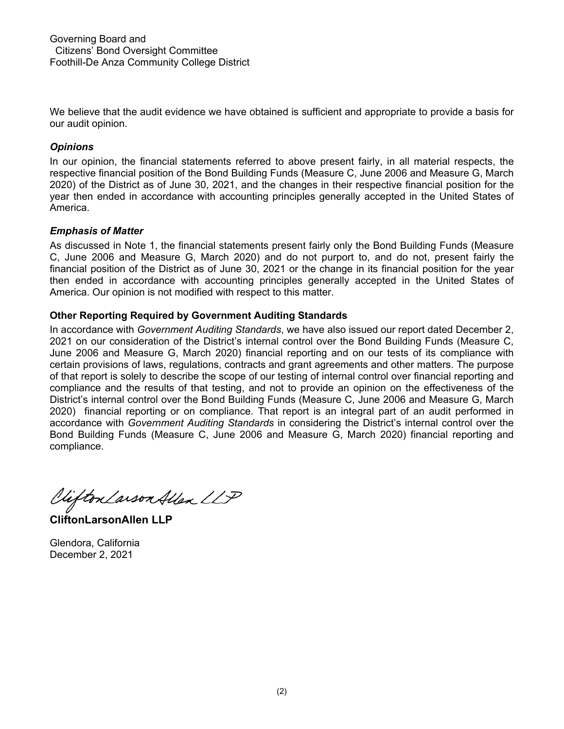We believe that the audit evidence we have obtained is sufficient and appropriate to provide a basis for our audit opinion.

# *Opinions*

In our opinion, the financial statements referred to above present fairly, in all material respects, the respective financial position of the Bond Building Funds (Measure C, June 2006 and Measure G, March 2020) of the District as of June 30, 2021, and the changes in their respective financial position for the year then ended in accordance with accounting principles generally accepted in the United States of America.

## *Emphasis of Matter*

As discussed in Note 1, the financial statements present fairly only the Bond Building Funds (Measure C, June 2006 and Measure G, March 2020) and do not purport to, and do not, present fairly the financial position of the District as of June 30, 2021 or the change in its financial position for the year then ended in accordance with accounting principles generally accepted in the United States of America. Our opinion is not modified with respect to this matter.

# **Other Reporting Required by Government Auditing Standards**

In accordance with *Government Auditing Standards*, we have also issued our report dated December 2, 2021 on our consideration of the District's internal control over the Bond Building Funds (Measure C, June 2006 and Measure G, March 2020) financial reporting and on our tests of its compliance with certain provisions of laws, regulations, contracts and grant agreements and other matters. The purpose of that report is solely to describe the scope of our testing of internal control over financial reporting and compliance and the results of that testing, and not to provide an opinion on the effectiveness of the District's internal control over the Bond Building Funds (Measure C, June 2006 and Measure G, March 2020) financial reporting or on compliance. That report is an integral part of an audit performed in accordance with *Government Auditing Standards* in considering the District's internal control over the Bond Building Funds (Measure C, June 2006 and Measure G, March 2020) financial reporting and compliance.

Viifton Larson Allen LLP

**CliftonLarsonAllen LLP** 

Glendora, California December 2, 2021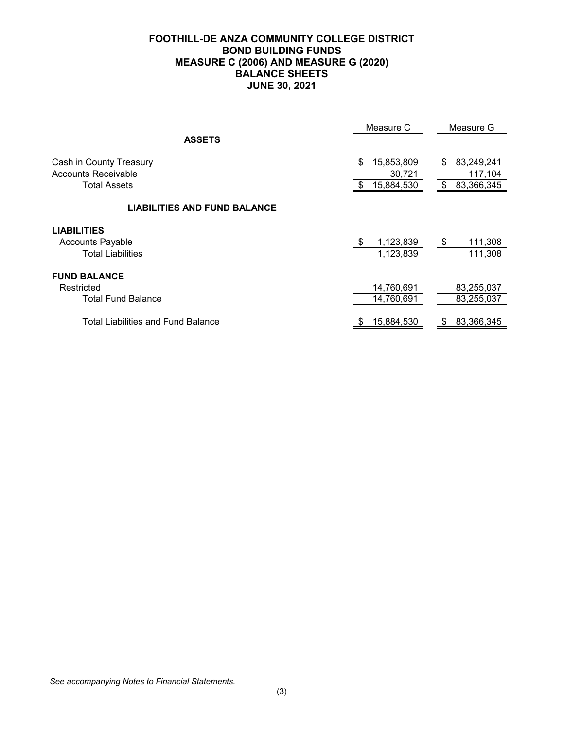|                                                                           | Measure C                                | Measure G                                    |
|---------------------------------------------------------------------------|------------------------------------------|----------------------------------------------|
| <b>ASSETS</b>                                                             |                                          |                                              |
| Cash in County Treasury<br>Accounts Receivable<br><b>Total Assets</b>     | \$<br>15,853,809<br>30,721<br>15,884,530 | 83,249,241<br>\$<br>117,104<br>\$ 83,366,345 |
| <b>LIABILITIES AND FUND BALANCE</b>                                       |                                          |                                              |
| <b>LIABILITIES</b><br><b>Accounts Payable</b><br><b>Total Liabilities</b> | 1,123,839<br>\$<br>1,123,839             | 111,308<br>- \$<br>111,308                   |
| <b>FUND BALANCE</b><br>Restricted<br><b>Total Fund Balance</b>            | 14,760,691<br>14,760,691                 | 83,255,037<br>83,255,037                     |
| <b>Total Liabilities and Fund Balance</b>                                 | 15,884,530<br>S.                         | 83,366,345<br>S                              |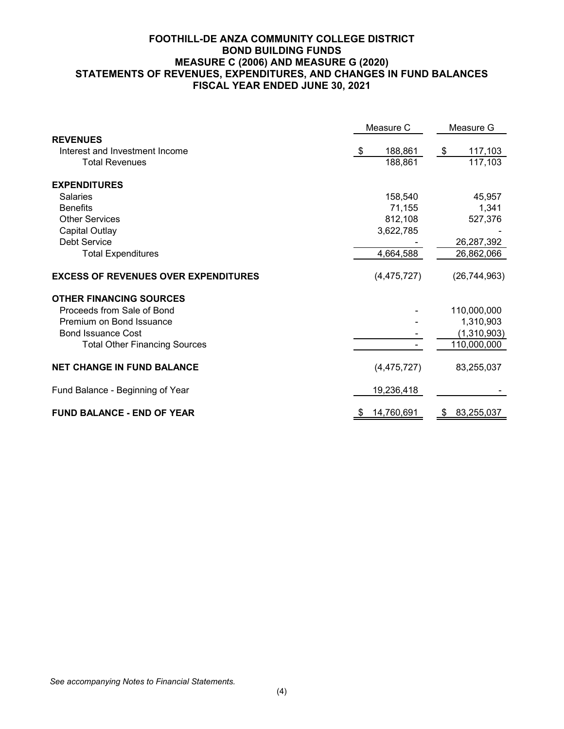### **FOOTHILL-DE ANZA COMMUNITY COLLEGE DISTRICT BOND BUILDING FUNDS MEASURE C (2006) AND MEASURE G (2020) STATEMENTS OF REVENUES, EXPENDITURES, AND CHANGES IN FUND BALANCES FISCAL YEAR ENDED JUNE 30, 2021**

|                                             | Measure C     | Measure G      |  |
|---------------------------------------------|---------------|----------------|--|
| <b>REVENUES</b>                             |               |                |  |
| Interest and Investment Income              | 188,861<br>-S | 117,103<br>\$  |  |
| <b>Total Revenues</b>                       | 188,861       | 117,103        |  |
| <b>EXPENDITURES</b>                         |               |                |  |
| <b>Salaries</b>                             | 158,540       | 45,957         |  |
| <b>Benefits</b>                             | 71,155        | 1,341          |  |
| <b>Other Services</b>                       | 812,108       | 527,376        |  |
| Capital Outlay                              | 3,622,785     |                |  |
| <b>Debt Service</b>                         |               | 26,287,392     |  |
| <b>Total Expenditures</b>                   | 4,664,588     | 26,862,066     |  |
| <b>EXCESS OF REVENUES OVER EXPENDITURES</b> | (4,475,727)   | (26, 744, 963) |  |
| <b>OTHER FINANCING SOURCES</b>              |               |                |  |
| Proceeds from Sale of Bond                  |               | 110,000,000    |  |
| Premium on Bond Issuance                    |               | 1,310,903      |  |
| <b>Bond Issuance Cost</b>                   |               | (1,310,903)    |  |
| <b>Total Other Financing Sources</b>        |               | 110,000,000    |  |
| <b>NET CHANGE IN FUND BALANCE</b>           | (4,475,727)   | 83,255,037     |  |
| Fund Balance - Beginning of Year            | 19,236,418    |                |  |
| <b>FUND BALANCE - END OF YEAR</b>           | 14,760,691    | 83,255,037     |  |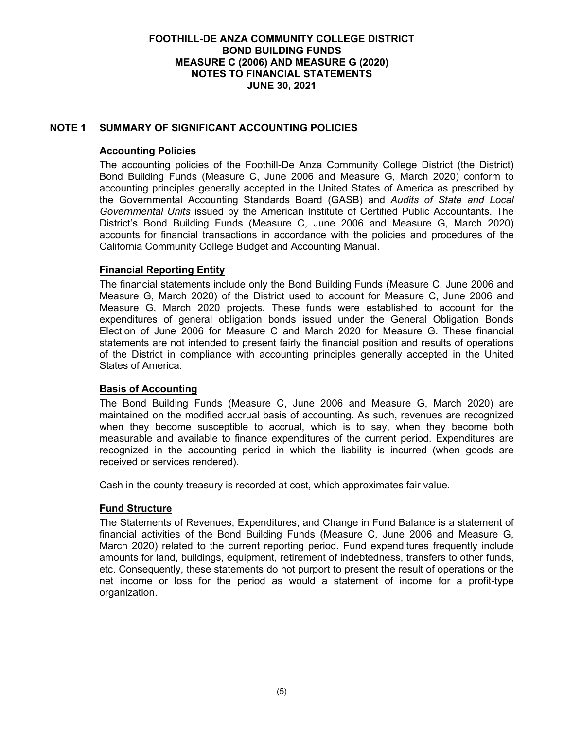# **NOTE 1 SUMMARY OF SIGNIFICANT ACCOUNTING POLICIES**

### **Accounting Policies**

The accounting policies of the Foothill-De Anza Community College District (the District) Bond Building Funds (Measure C, June 2006 and Measure G, March 2020) conform to accounting principles generally accepted in the United States of America as prescribed by the Governmental Accounting Standards Board (GASB) and *Audits of State and Local Governmental Units* issued by the American Institute of Certified Public Accountants. The District's Bond Building Funds (Measure C, June 2006 and Measure G, March 2020) accounts for financial transactions in accordance with the policies and procedures of the California Community College Budget and Accounting Manual.

### **Financial Reporting Entity**

The financial statements include only the Bond Building Funds (Measure C, June 2006 and Measure G, March 2020) of the District used to account for Measure C, June 2006 and Measure G, March 2020 projects. These funds were established to account for the expenditures of general obligation bonds issued under the General Obligation Bonds Election of June 2006 for Measure C and March 2020 for Measure G. These financial statements are not intended to present fairly the financial position and results of operations of the District in compliance with accounting principles generally accepted in the United States of America.

#### **Basis of Accounting**

The Bond Building Funds (Measure C, June 2006 and Measure G, March 2020) are maintained on the modified accrual basis of accounting. As such, revenues are recognized when they become susceptible to accrual, which is to say, when they become both measurable and available to finance expenditures of the current period. Expenditures are recognized in the accounting period in which the liability is incurred (when goods are received or services rendered).

Cash in the county treasury is recorded at cost, which approximates fair value.

#### **Fund Structure**

The Statements of Revenues, Expenditures, and Change in Fund Balance is a statement of financial activities of the Bond Building Funds (Measure C, June 2006 and Measure G, March 2020) related to the current reporting period. Fund expenditures frequently include amounts for land, buildings, equipment, retirement of indebtedness, transfers to other funds, etc. Consequently, these statements do not purport to present the result of operations or the net income or loss for the period as would a statement of income for a profit-type organization.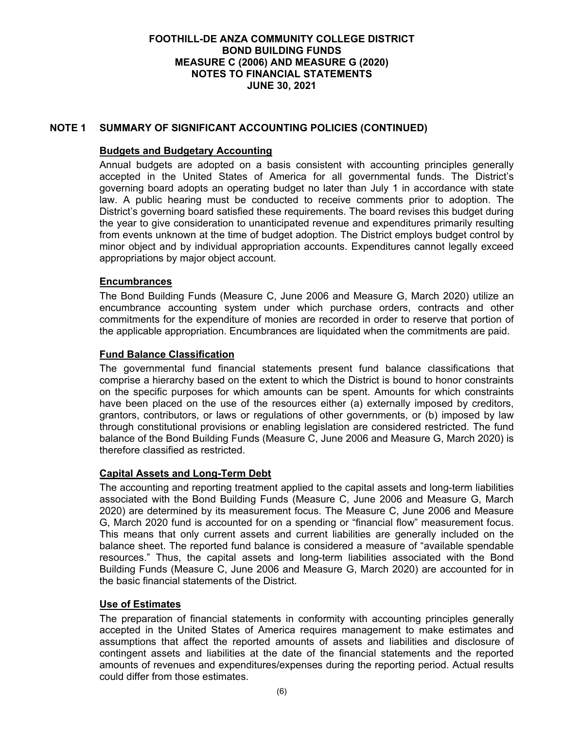## **NOTE 1 SUMMARY OF SIGNIFICANT ACCOUNTING POLICIES (CONTINUED)**

### **Budgets and Budgetary Accounting**

Annual budgets are adopted on a basis consistent with accounting principles generally accepted in the United States of America for all governmental funds. The District's governing board adopts an operating budget no later than July 1 in accordance with state law. A public hearing must be conducted to receive comments prior to adoption. The District's governing board satisfied these requirements. The board revises this budget during the year to give consideration to unanticipated revenue and expenditures primarily resulting from events unknown at the time of budget adoption. The District employs budget control by minor object and by individual appropriation accounts. Expenditures cannot legally exceed appropriations by major object account.

### **Encumbrances**

The Bond Building Funds (Measure C, June 2006 and Measure G, March 2020) utilize an encumbrance accounting system under which purchase orders, contracts and other commitments for the expenditure of monies are recorded in order to reserve that portion of the applicable appropriation. Encumbrances are liquidated when the commitments are paid.

## **Fund Balance Classification**

The governmental fund financial statements present fund balance classifications that comprise a hierarchy based on the extent to which the District is bound to honor constraints on the specific purposes for which amounts can be spent. Amounts for which constraints have been placed on the use of the resources either (a) externally imposed by creditors, grantors, contributors, or laws or regulations of other governments, or (b) imposed by law through constitutional provisions or enabling legislation are considered restricted. The fund balance of the Bond Building Funds (Measure C, June 2006 and Measure G, March 2020) is therefore classified as restricted.

## **Capital Assets and Long-Term Debt**

The accounting and reporting treatment applied to the capital assets and long-term liabilities associated with the Bond Building Funds (Measure C, June 2006 and Measure G, March 2020) are determined by its measurement focus. The Measure C, June 2006 and Measure G, March 2020 fund is accounted for on a spending or "financial flow" measurement focus. This means that only current assets and current liabilities are generally included on the balance sheet. The reported fund balance is considered a measure of "available spendable resources." Thus, the capital assets and long-term liabilities associated with the Bond Building Funds (Measure C, June 2006 and Measure G, March 2020) are accounted for in the basic financial statements of the District.

## **Use of Estimates**

The preparation of financial statements in conformity with accounting principles generally accepted in the United States of America requires management to make estimates and assumptions that affect the reported amounts of assets and liabilities and disclosure of contingent assets and liabilities at the date of the financial statements and the reported amounts of revenues and expenditures/expenses during the reporting period. Actual results could differ from those estimates.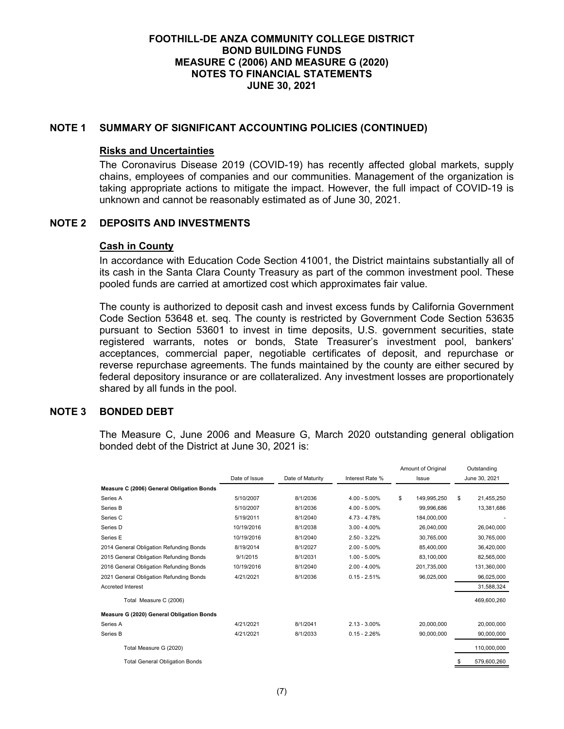### **NOTE 1 SUMMARY OF SIGNIFICANT ACCOUNTING POLICIES (CONTINUED)**

#### **Risks and Uncertainties**

The Coronavirus Disease 2019 (COVID-19) has recently affected global markets, supply chains, employees of companies and our communities. Management of the organization is taking appropriate actions to mitigate the impact. However, the full impact of COVID-19 is unknown and cannot be reasonably estimated as of June 30, 2021.

### **NOTE 2 DEPOSITS AND INVESTMENTS**

#### **Cash in County**

In accordance with Education Code Section 41001, the District maintains substantially all of its cash in the Santa Clara County Treasury as part of the common investment pool. These pooled funds are carried at amortized cost which approximates fair value.

The county is authorized to deposit cash and invest excess funds by California Government Code Section 53648 et. seq. The county is restricted by Government Code Section 53635 pursuant to Section 53601 to invest in time deposits, U.S. government securities, state registered warrants, notes or bonds, State Treasurer's investment pool, bankers' acceptances, commercial paper, negotiable certificates of deposit, and repurchase or reverse repurchase agreements. The funds maintained by the county are either secured by federal depository insurance or are collateralized. Any investment losses are proportionately shared by all funds in the pool.

### **NOTE 3 BONDED DEBT**

The Measure C, June 2006 and Measure G, March 2020 outstanding general obligation bonded debt of the District at June 30, 2021 is:

|                                           |               |                  |                 | Amount of Original | Outstanding      |
|-------------------------------------------|---------------|------------------|-----------------|--------------------|------------------|
|                                           | Date of Issue | Date of Maturity | Interest Rate % | Issue              | June 30, 2021    |
| Measure C (2006) General Obligation Bonds |               |                  |                 |                    |                  |
| Series A                                  | 5/10/2007     | 8/1/2036         | $4.00 - 5.00\%$ | \$<br>149.995.250  | \$<br>21,455,250 |
| Series B                                  | 5/10/2007     | 8/1/2036         | $4.00 - 5.00\%$ | 99,996,686         | 13,381,686       |
| Series C                                  | 5/19/2011     | 8/1/2040         | 4.73 - 4.78%    | 184.000.000        |                  |
| Series D                                  | 10/19/2016    | 8/1/2038         | $3.00 - 4.00\%$ | 26.040.000         | 26,040,000       |
| Series E                                  | 10/19/2016    | 8/1/2040         | $2.50 - 3.22%$  | 30,765,000         | 30,765,000       |
| 2014 General Obligation Refunding Bonds   | 8/19/2014     | 8/1/2027         | $2.00 - 5.00\%$ | 85.400.000         | 36,420,000       |
| 2015 General Obligation Refunding Bonds   | 9/1/2015      | 8/1/2031         | $1.00 - 5.00\%$ | 83,100,000         | 82,565,000       |
| 2016 General Obligation Refunding Bonds   | 10/19/2016    | 8/1/2040         | $2.00 - 4.00\%$ | 201.735.000        | 131,360,000      |
| 2021 General Obligation Refunding Bonds   | 4/21/2021     | 8/1/2036         | $0.15 - 2.51%$  | 96,025,000         | 96,025,000       |
| <b>Accreted Interest</b>                  |               |                  |                 |                    | 31,588,324       |
| Total Measure C (2006)                    |               |                  |                 |                    | 469,600,260      |
| Measure G (2020) General Obligation Bonds |               |                  |                 |                    |                  |
| Series A                                  | 4/21/2021     | 8/1/2041         | $2.13 - 3.00\%$ | 20,000,000         | 20,000,000       |
| Series B                                  | 4/21/2021     | 8/1/2033         | $0.15 - 2.26%$  | 90,000,000         | 90,000,000       |
| Total Measure G (2020)                    |               |                  |                 |                    | 110.000.000      |
| <b>Total General Obligation Bonds</b>     |               |                  |                 |                    | 579,600,260      |
|                                           |               |                  |                 |                    |                  |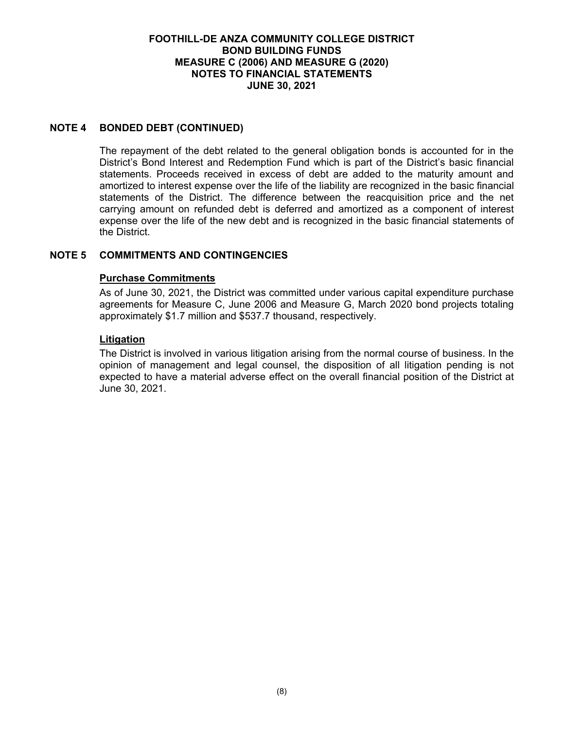### **NOTE 4 BONDED DEBT (CONTINUED)**

The repayment of the debt related to the general obligation bonds is accounted for in the District's Bond Interest and Redemption Fund which is part of the District's basic financial statements. Proceeds received in excess of debt are added to the maturity amount and amortized to interest expense over the life of the liability are recognized in the basic financial statements of the District. The difference between the reacquisition price and the net carrying amount on refunded debt is deferred and amortized as a component of interest expense over the life of the new debt and is recognized in the basic financial statements of the District.

# **NOTE 5 COMMITMENTS AND CONTINGENCIES**

### **Purchase Commitments**

As of June 30, 2021, the District was committed under various capital expenditure purchase agreements for Measure C, June 2006 and Measure G, March 2020 bond projects totaling approximately \$1.7 million and \$537.7 thousand, respectively.

### **Litigation**

The District is involved in various litigation arising from the normal course of business. In the opinion of management and legal counsel, the disposition of all litigation pending is not expected to have a material adverse effect on the overall financial position of the District at June 30, 2021.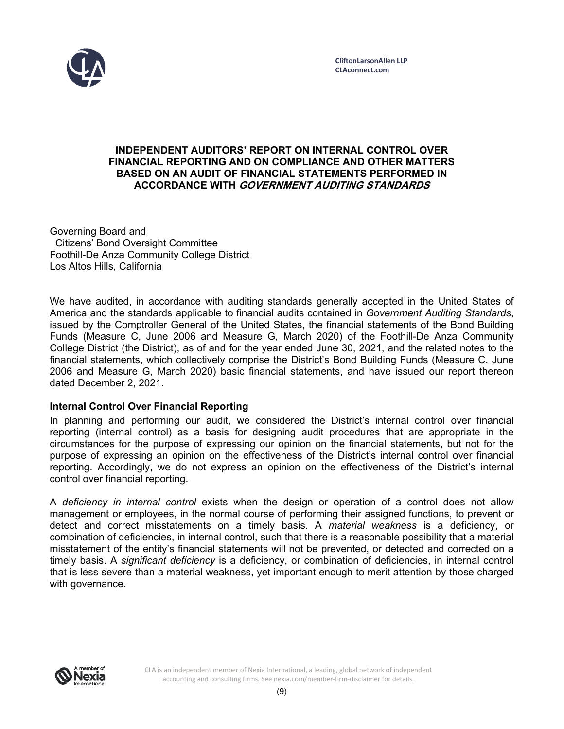

### **INDEPENDENT AUDITORS' REPORT ON INTERNAL CONTROL OVER FINANCIAL REPORTING AND ON COMPLIANCE AND OTHER MATTERS BASED ON AN AUDIT OF FINANCIAL STATEMENTS PERFORMED IN ACCORDANCE WITH GOVERNMENT AUDITING STANDARDS**

Governing Board and Citizens' Bond Oversight Committee Foothill-De Anza Community College District Los Altos Hills, California

We have audited, in accordance with auditing standards generally accepted in the United States of America and the standards applicable to financial audits contained in *Government Auditing Standards*, issued by the Comptroller General of the United States, the financial statements of the Bond Building Funds (Measure C, June 2006 and Measure G, March 2020) of the Foothill-De Anza Community College District (the District), as of and for the year ended June 30, 2021, and the related notes to the financial statements, which collectively comprise the District's Bond Building Funds (Measure C, June 2006 and Measure G, March 2020) basic financial statements, and have issued our report thereon dated December 2, 2021.

## **Internal Control Over Financial Reporting**

In planning and performing our audit, we considered the District's internal control over financial reporting (internal control) as a basis for designing audit procedures that are appropriate in the circumstances for the purpose of expressing our opinion on the financial statements, but not for the purpose of expressing an opinion on the effectiveness of the District's internal control over financial reporting. Accordingly, we do not express an opinion on the effectiveness of the District's internal control over financial reporting.

A *deficiency in internal control* exists when the design or operation of a control does not allow management or employees, in the normal course of performing their assigned functions, to prevent or detect and correct misstatements on a timely basis. A *material weakness* is a deficiency, or combination of deficiencies, in internal control, such that there is a reasonable possibility that a material misstatement of the entity's financial statements will not be prevented, or detected and corrected on a timely basis. A *significant deficiency* is a deficiency, or combination of deficiencies, in internal control that is less severe than a material weakness, yet important enough to merit attention by those charged with governance.

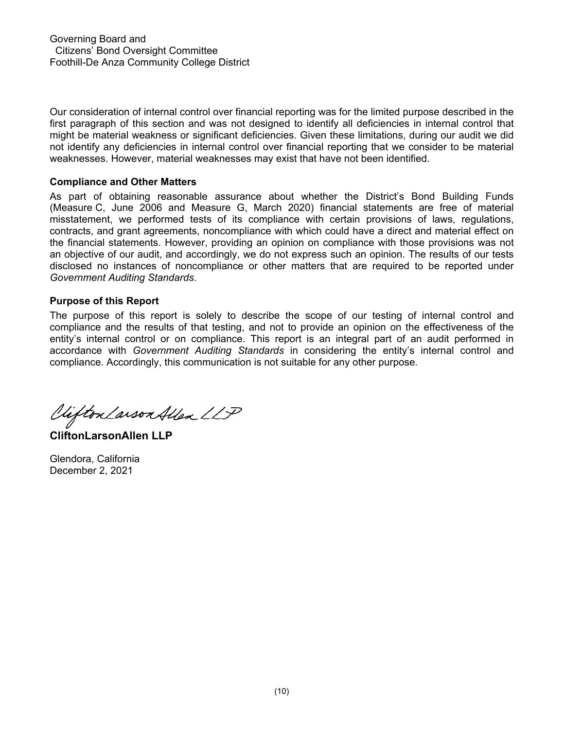Our consideration of internal control over financial reporting was for the limited purpose described in the first paragraph of this section and was not designed to identify all deficiencies in internal control that might be material weakness or significant deficiencies. Given these limitations, during our audit we did not identify any deficiencies in internal control over financial reporting that we consider to be material weaknesses. However, material weaknesses may exist that have not been identified.

### **Compliance and Other Matters**

As part of obtaining reasonable assurance about whether the District's Bond Building Funds (Measure C, June 2006 and Measure G, March 2020) financial statements are free of material misstatement, we performed tests of its compliance with certain provisions of laws, regulations, contracts, and grant agreements, noncompliance with which could have a direct and material effect on the financial statements. However, providing an opinion on compliance with those provisions was not an objective of our audit, and accordingly, we do not express such an opinion. The results of our tests disclosed no instances of noncompliance or other matters that are required to be reported under *Government Auditing Standards*.

## **Purpose of this Report**

The purpose of this report is solely to describe the scope of our testing of internal control and compliance and the results of that testing, and not to provide an opinion on the effectiveness of the entity's internal control or on compliance. This report is an integral part of an audit performed in accordance with *Government Auditing Standards* in considering the entity's internal control and compliance. Accordingly, this communication is not suitable for any other purpose.

Viefton Larson Allen LLP

**CliftonLarsonAllen LLP** 

Glendora, California December 2, 2021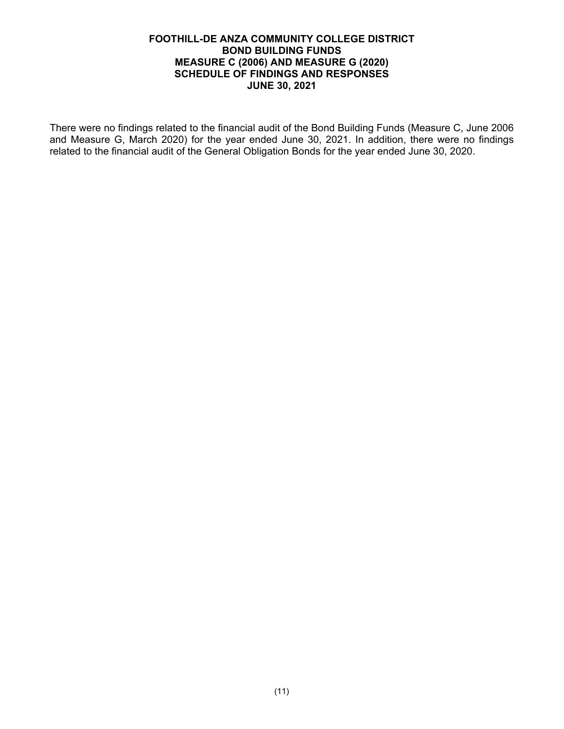### **FOOTHILL-DE ANZA COMMUNITY COLLEGE DISTRICT BOND BUILDING FUNDS MEASURE C (2006) AND MEASURE G (2020) SCHEDULE OF FINDINGS AND RESPONSES JUNE 30, 2021**

There were no findings related to the financial audit of the Bond Building Funds (Measure C, June 2006 and Measure G, March 2020) for the year ended June 30, 2021. In addition, there were no findings related to the financial audit of the General Obligation Bonds for the year ended June 30, 2020.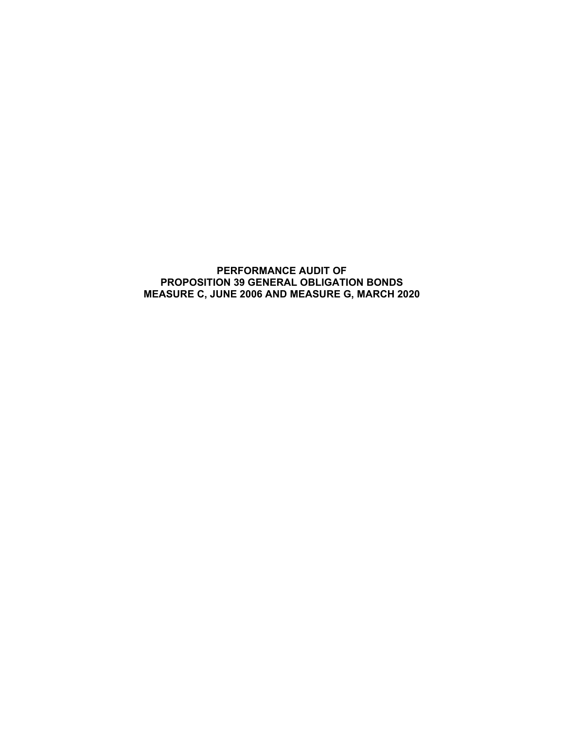## **PERFORMANCE AUDIT OF PROPOSITION 39 GENERAL OBLIGATION BONDS MEASURE C, JUNE 2006 AND MEASURE G, MARCH 2020**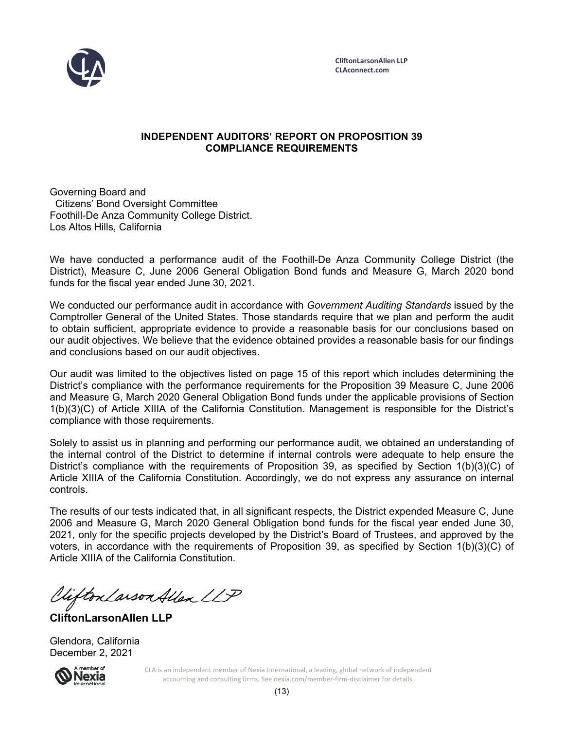

## **INDEPENDENT AUDITORS' REPORT ON PROPOSITION 39 COMPLIANCE REQUIREMENTS**

Governing Board and Citizens' Bond Oversight Committee Foothill-De Anza Community College District. Los Altos Hills, California

We have conducted a performance audit of the Foothill-De Anza Community College District (the District), Measure C, June 2006 General Obligation Bond funds and Measure G, March 2020 bond funds for the fiscal year ended June 30, 2021.

We conducted our performance audit in accordance with *Government Auditing Standards* issued by the Comptroller General of the United States. Those standards require that we plan and perform the audit to obtain sufficient, appropriate evidence to provide a reasonable basis for our conclusions based on our audit objectives. We believe that the evidence obtained provides a reasonable basis for our findings and conclusions based on our audit objectives.

Our audit was limited to the objectives listed on page 15 of this report which includes determining the District's compliance with the performance requirements for the Proposition 39 Measure C, June 2006 and Measure G, March 2020 General Obligation Bond funds under the applicable provisions of Section 1(b)(3)(C) of Article XIIIA of the California Constitution. Management is responsible for the District's compliance with those requirements.

Solely to assist us in planning and performing our performance audit, we obtained an understanding of the internal control of the District to determine if internal controls were adequate to help ensure the District's compliance with the requirements of Proposition 39, as specified by Section 1(b)(3)(C) of Article XIIIA of the California Constitution. Accordingly, we do not express any assurance on internal controls.

The results of our tests indicated that, in all significant respects, the District expended Measure C, June 2006 and Measure G, March 2020 General Obligation bond funds for the fiscal year ended June 30, 2021, only for the specific projects developed by the District's Board of Trustees, and approved by the voters, in accordance with the requirements of Proposition 39, as specified by Section 1(b)(3)(C) of Article XIIIA of the California Constitution.

Viifton Larson Allen LLP

**CliftonLarsonAllen LLP** 

Glendora, California December 2, 2021



CLA is an independent member of Nexia International, a leading, global network of independent accounting and consulting firms. See nexia.com/member‐firm‐disclaimer for details.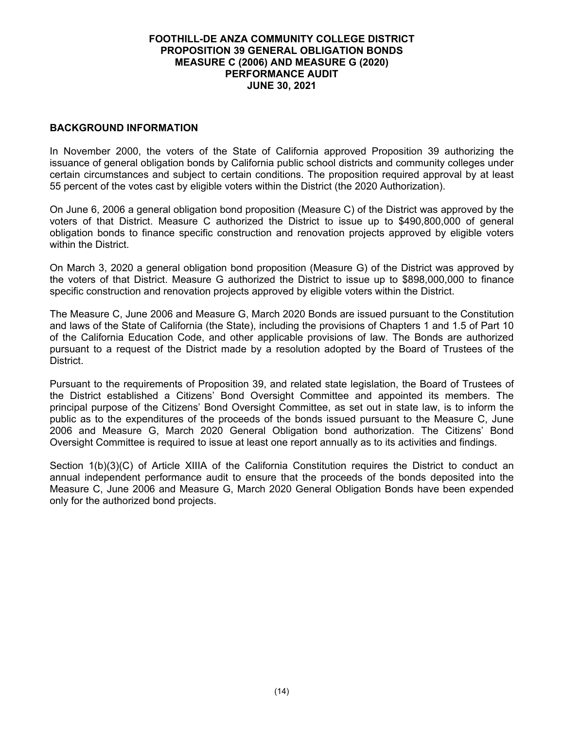### **BACKGROUND INFORMATION**

In November 2000, the voters of the State of California approved Proposition 39 authorizing the issuance of general obligation bonds by California public school districts and community colleges under certain circumstances and subject to certain conditions. The proposition required approval by at least 55 percent of the votes cast by eligible voters within the District (the 2020 Authorization).

On June 6, 2006 a general obligation bond proposition (Measure C) of the District was approved by the voters of that District. Measure C authorized the District to issue up to \$490,800,000 of general obligation bonds to finance specific construction and renovation projects approved by eligible voters within the District.

On March 3, 2020 a general obligation bond proposition (Measure G) of the District was approved by the voters of that District. Measure G authorized the District to issue up to \$898,000,000 to finance specific construction and renovation projects approved by eligible voters within the District.

The Measure C, June 2006 and Measure G, March 2020 Bonds are issued pursuant to the Constitution and laws of the State of California (the State), including the provisions of Chapters 1 and 1.5 of Part 10 of the California Education Code, and other applicable provisions of law. The Bonds are authorized pursuant to a request of the District made by a resolution adopted by the Board of Trustees of the District.

Pursuant to the requirements of Proposition 39, and related state legislation, the Board of Trustees of the District established a Citizens' Bond Oversight Committee and appointed its members. The principal purpose of the Citizens' Bond Oversight Committee, as set out in state law, is to inform the public as to the expenditures of the proceeds of the bonds issued pursuant to the Measure C, June 2006 and Measure G, March 2020 General Obligation bond authorization. The Citizens' Bond Oversight Committee is required to issue at least one report annually as to its activities and findings.

Section 1(b)(3)(C) of Article XIIIA of the California Constitution requires the District to conduct an annual independent performance audit to ensure that the proceeds of the bonds deposited into the Measure C, June 2006 and Measure G, March 2020 General Obligation Bonds have been expended only for the authorized bond projects.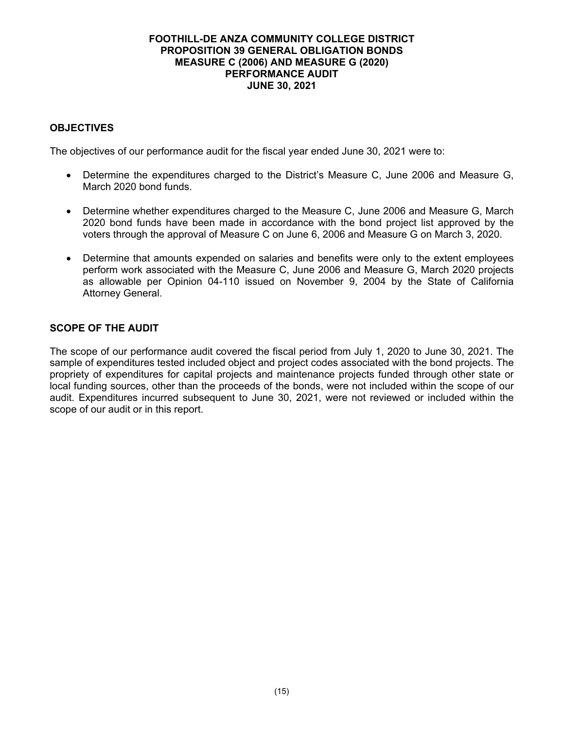# **OBJECTIVES**

The objectives of our performance audit for the fiscal year ended June 30, 2021 were to:

- Determine the expenditures charged to the District's Measure C, June 2006 and Measure G, March 2020 bond funds.
- Determine whether expenditures charged to the Measure C, June 2006 and Measure G, March 2020 bond funds have been made in accordance with the bond project list approved by the voters through the approval of Measure C on June 6, 2006 and Measure G on March 3, 2020.
- Determine that amounts expended on salaries and benefits were only to the extent employees perform work associated with the Measure C, June 2006 and Measure G, March 2020 projects as allowable per Opinion 04-110 issued on November 9, 2004 by the State of California Attorney General.

## **SCOPE OF THE AUDIT**

The scope of our performance audit covered the fiscal period from July 1, 2020 to June 30, 2021. The sample of expenditures tested included object and project codes associated with the bond projects. The propriety of expenditures for capital projects and maintenance projects funded through other state or local funding sources, other than the proceeds of the bonds, were not included within the scope of our audit. Expenditures incurred subsequent to June 30, 2021, were not reviewed or included within the scope of our audit or in this report.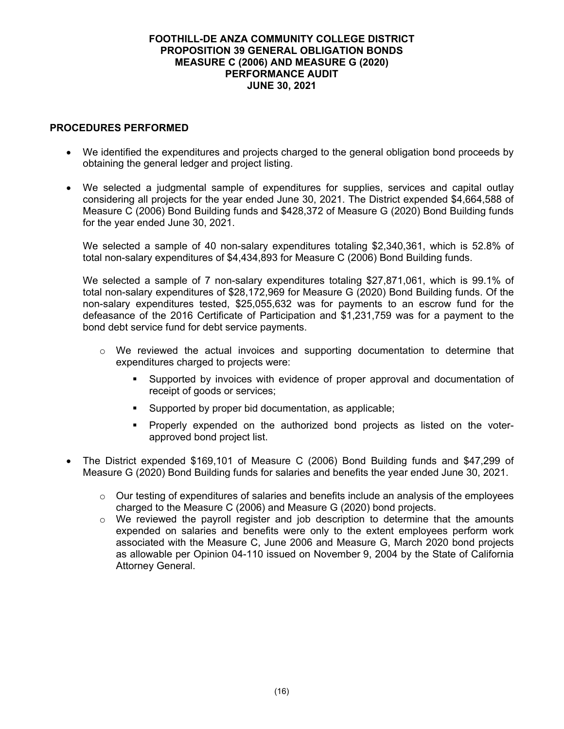### **PROCEDURES PERFORMED**

- We identified the expenditures and projects charged to the general obligation bond proceeds by obtaining the general ledger and project listing.
- We selected a judgmental sample of expenditures for supplies, services and capital outlay considering all projects for the year ended June 30, 2021. The District expended \$4,664,588 of Measure C (2006) Bond Building funds and \$428,372 of Measure G (2020) Bond Building funds for the year ended June 30, 2021.

We selected a sample of 40 non-salary expenditures totaling \$2,340,361, which is 52.8% of total non-salary expenditures of \$4,434,893 for Measure C (2006) Bond Building funds.

We selected a sample of 7 non-salary expenditures totaling \$27,871,061, which is 99.1% of total non-salary expenditures of \$28,172,969 for Measure G (2020) Bond Building funds. Of the non-salary expenditures tested, \$25,055,632 was for payments to an escrow fund for the defeasance of the 2016 Certificate of Participation and \$1,231,759 was for a payment to the bond debt service fund for debt service payments.

- $\circ$  We reviewed the actual invoices and supporting documentation to determine that expenditures charged to projects were:
	- Supported by invoices with evidence of proper approval and documentation of receipt of goods or services;
	- Supported by proper bid documentation, as applicable;
	- Properly expended on the authorized bond projects as listed on the voterapproved bond project list.
- The District expended \$169,101 of Measure C (2006) Bond Building funds and \$47,299 of Measure G (2020) Bond Building funds for salaries and benefits the year ended June 30, 2021.
	- $\circ$  Our testing of expenditures of salaries and benefits include an analysis of the employees charged to the Measure C (2006) and Measure G (2020) bond projects.
	- $\circ$  We reviewed the payroll register and job description to determine that the amounts expended on salaries and benefits were only to the extent employees perform work associated with the Measure C, June 2006 and Measure G, March 2020 bond projects as allowable per Opinion 04-110 issued on November 9, 2004 by the State of California Attorney General.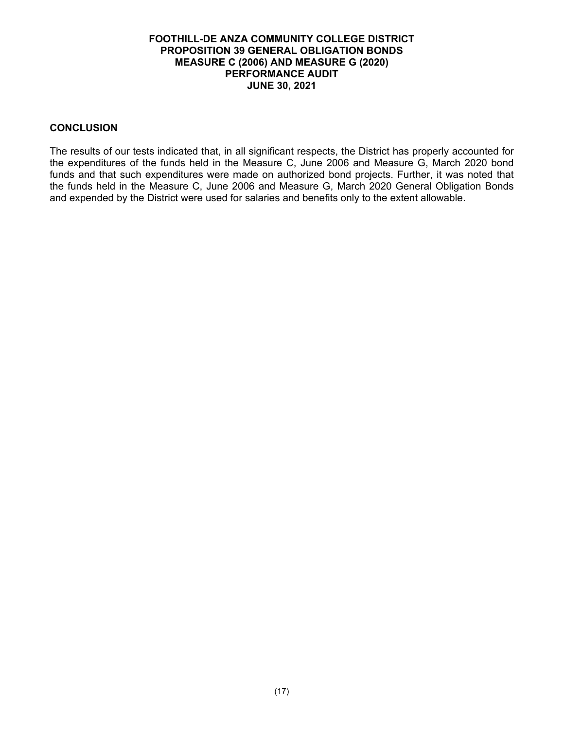#### **CONCLUSION**

The results of our tests indicated that, in all significant respects, the District has properly accounted for the expenditures of the funds held in the Measure C, June 2006 and Measure G, March 2020 bond funds and that such expenditures were made on authorized bond projects. Further, it was noted that the funds held in the Measure C, June 2006 and Measure G, March 2020 General Obligation Bonds and expended by the District were used for salaries and benefits only to the extent allowable.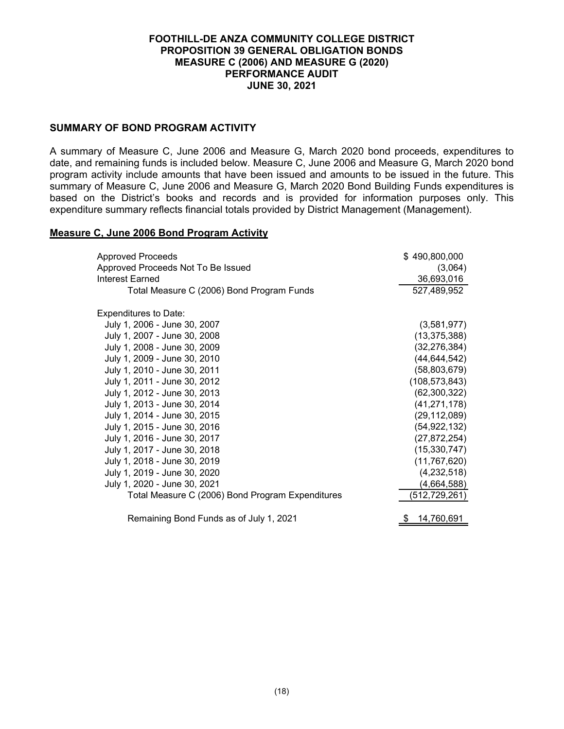### **SUMMARY OF BOND PROGRAM ACTIVITY**

A summary of Measure C, June 2006 and Measure G, March 2020 bond proceeds, expenditures to date, and remaining funds is included below. Measure C, June 2006 and Measure G, March 2020 bond program activity include amounts that have been issued and amounts to be issued in the future. This summary of Measure C, June 2006 and Measure G, March 2020 Bond Building Funds expenditures is based on the District's books and records and is provided for information purposes only. This expenditure summary reflects financial totals provided by District Management (Management).

#### **Measure C, June 2006 Bond Program Activity**

| <b>Approved Proceeds</b>                         | \$490,800,000    |
|--------------------------------------------------|------------------|
| Approved Proceeds Not To Be Issued               | (3,064)          |
| Interest Earned                                  | 36,693,016       |
| Total Measure C (2006) Bond Program Funds        | 527,489,952      |
| <b>Expenditures to Date:</b>                     |                  |
| July 1, 2006 - June 30, 2007                     | (3,581,977)      |
| July 1, 2007 - June 30, 2008                     | (13, 375, 388)   |
| July 1, 2008 - June 30, 2009                     | (32, 276, 384)   |
| July 1, 2009 - June 30, 2010                     | (44, 644, 542)   |
| July 1, 2010 - June 30, 2011                     | (58, 803, 679)   |
| July 1, 2011 - June 30, 2012                     | (108, 573, 843)  |
| July 1, 2012 - June 30, 2013                     | (62, 300, 322)   |
| July 1, 2013 - June 30, 2014                     | (41, 271, 178)   |
| July 1, 2014 - June 30, 2015                     | (29, 112, 089)   |
| July 1, 2015 - June 30, 2016                     | (54, 922, 132)   |
| July 1, 2016 - June 30, 2017                     | (27, 872, 254)   |
| July 1, 2017 - June 30, 2018                     | (15, 330, 747)   |
| July 1, 2018 - June 30, 2019                     | (11, 767, 620)   |
| July 1, 2019 - June 30, 2020                     | (4, 232, 518)    |
| July 1, 2020 - June 30, 2021                     | (4,664,588)      |
| Total Measure C (2006) Bond Program Expenditures | (512,729,261)    |
| Remaining Bond Funds as of July 1, 2021          | 14,760,691<br>\$ |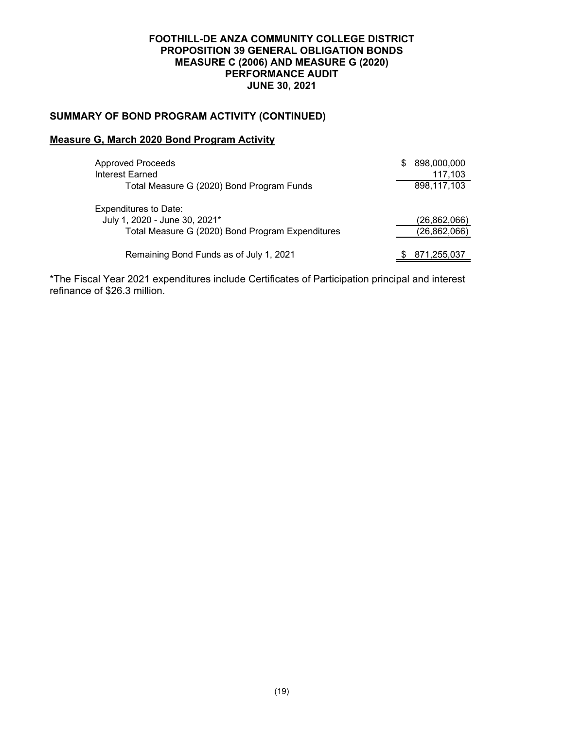# **SUMMARY OF BOND PROGRAM ACTIVITY (CONTINUED)**

### **Measure G, March 2020 Bond Program Activity**

| <b>Approved Proceeds</b><br>Interest Earned      | S | 898,000,000<br>117,103 |
|--------------------------------------------------|---|------------------------|
| Total Measure G (2020) Bond Program Funds        |   | 898,117,103            |
| Expenditures to Date:                            |   |                        |
| July 1, 2020 - June 30, 2021*                    |   | (26,862,066)           |
| Total Measure G (2020) Bond Program Expenditures |   | (26, 862, 066)         |
| Remaining Bond Funds as of July 1, 2021          |   | 871,255,037            |

\*The Fiscal Year 2021 expenditures include Certificates of Participation principal and interest refinance of \$26.3 million.